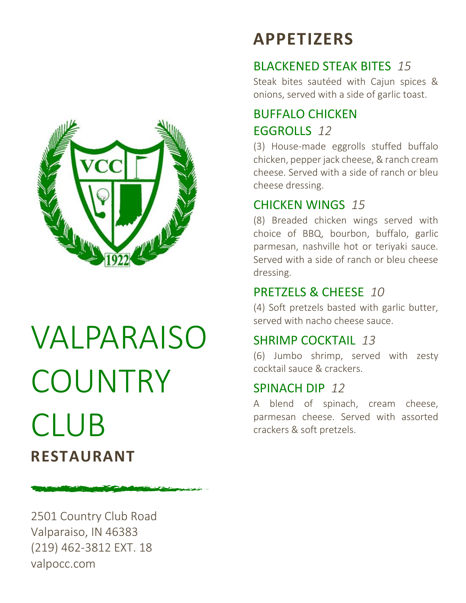

# VALPARAISO COUNTRY CLUB **RESTAURANT**

2501 Country Club Road Valparaiso, IN 46383 (219) 462-3812 EXT. 18 valpocc.com

# **APPETIZERS**

# BLACKENED STEAK BITES *15*

Steak bites sautéed with Cajun spices & onions, served with a side of garlic toast.

# BUFFALO CHICKEN EGGROLLS *12*

(3) House-made eggrolls stuffed buffalo chicken, pepper jack cheese, & ranch cream cheese. Served with a side of ranch or bleu cheese dressing.

# CHICKEN WINGS *15*

(8) Breaded chicken wings served with choice of BBQ, bourbon, buffalo, garlic parmesan, nashville hot or teriyaki sauce. Served with a side of ranch or bleu cheese dressing.

# PRETZELS & CHEESE *10*

(4) Soft pretzels basted with garlic butter, served with nacho cheese sauce.

## SHRIMP COCKTAIL *13*

(6) Jumbo shrimp, served with zesty cocktail sauce & crackers.

## SPINACH DIP *12*

A blend of spinach, cream cheese, parmesan cheese. Served with assorted crackers & soft pretzels.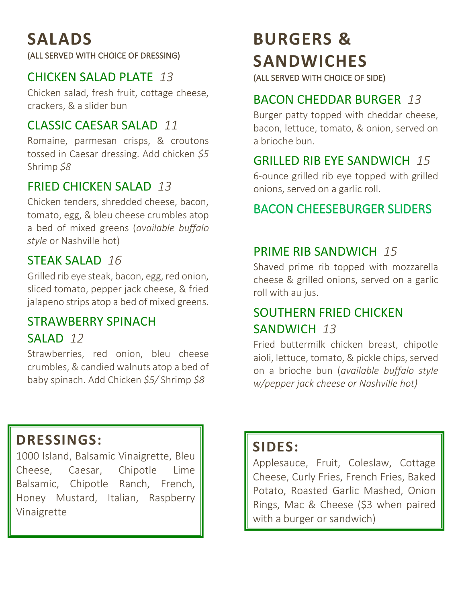# **SALADS**

(ALL SERVED WITH CHOICE OF DRESSING)

#### CHICKEN SALAD PLATE *13*

Chicken salad, fresh fruit, cottage cheese, crackers, & a slider bun

#### CLASSIC CAESAR SALAD *11*

Romaine, parmesan crisps, & croutons tossed in Caesar dressing. Add chicken *\$5* Shrimp *\$8*

#### FRIED CHICKEN SALAD *13*

Chicken tenders, shredded cheese, bacon, tomato, egg, & bleu cheese crumbles atop a bed of mixed greens (*available buffalo style* or Nashville hot)

## STEAK SALAD *16*

Grilled rib eye steak, bacon, egg, red onion, sliced tomato, pepper jack cheese, & fried jalapeno strips atop a bed of mixed greens.

## STRAWBERRY SPINACH SALAD *12*

Strawberries, red onion, bleu cheese crumbles, & candied walnuts atop a bed of baby spinach. Add Chicken *\$5/* Shrimp *\$8*

# **BURGERS & SANDWICHES**

(ALL SERVED WITH CHOICE OF SIDE)

# BACON CHEDDAR BURGER *13*

Burger patty topped with cheddar cheese, bacon, lettuce, tomato, & onion, served on a brioche bun.

# GRILLED RIB EYE SANDWICH *15*

6-ounce grilled rib eye topped with grilled onions, served on a garlic roll.

# BACON CHEESEBURGER SLIDERS

# PRIME RIB SANDWICH *15*

Shaved prime rib topped with mozzarella cheese & grilled onions, served on a garlic roll with au jus.

# SOUTHERN FRIED CHICKEN SANDWICH *13*

Fried buttermilk chicken breast, chipotle aioli, lettuce, tomato, & pickle chips, served on a brioche bun (*available buffalo style w/pepper jack cheese or Nashville hot)*

# **DRESSINGS:**

1000 Island, Balsamic Vinaigrette, Bleu Cheese, Caesar, Chipotle Lime Balsamic, Chipotle Ranch, French, Honey Mustard, Italian, Raspberry Vinaigrette

# **SIDES:**

Applesauce, Fruit, Coleslaw, Cottage Cheese, Curly Fries, French Fries, Baked Potato, Roasted Garlic Mashed, Onion Rings, Mac & Cheese (\$3 when paired with a burger or sandwich)